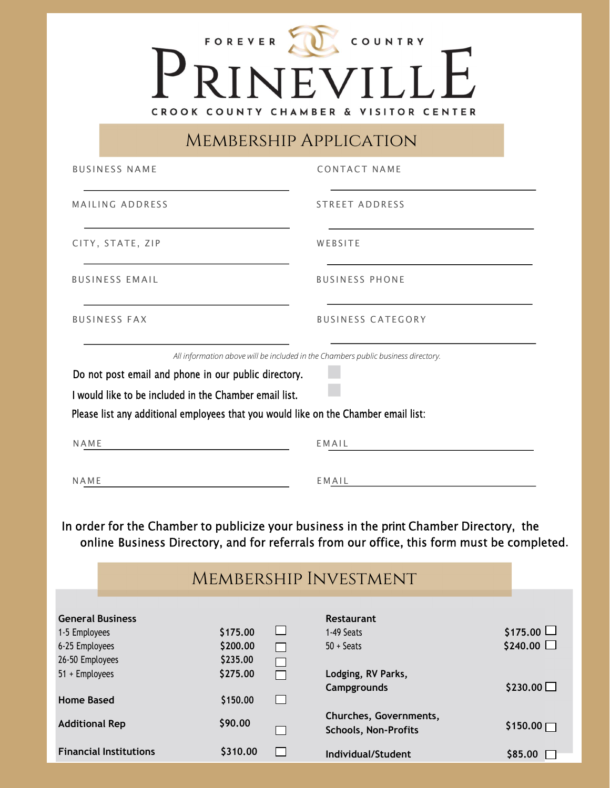## PRINEVILLE CROOK COUNTY CHAMBER & VISITOR CENTER

Membership Application

| <b>BUSINESS NAME</b>                                                          |                                                                                                                |                       | <b>CONTACT NAME</b>                                                                                                                                                                                                         |                                      |
|-------------------------------------------------------------------------------|----------------------------------------------------------------------------------------------------------------|-----------------------|-----------------------------------------------------------------------------------------------------------------------------------------------------------------------------------------------------------------------------|--------------------------------------|
| MAILING ADDRESS                                                               |                                                                                                                |                       | STREET ADDRESS                                                                                                                                                                                                              |                                      |
| CITY, STATE, ZIP                                                              |                                                                                                                |                       | WEBSITE                                                                                                                                                                                                                     |                                      |
| <b>BUSINESS EMAIL</b>                                                         |                                                                                                                |                       | <b>BUSINESS PHONE</b>                                                                                                                                                                                                       |                                      |
| <b>BUSINESS FAX</b>                                                           |                                                                                                                |                       | <b>BUSINESS CATEGORY</b>                                                                                                                                                                                                    |                                      |
| NAME                                                                          | Do not post email and phone in our public directory.<br>I would like to be included in the Chamber email list. |                       | Please list any additional employees that you would like on the Chamber email list:<br>EMAIL                                                                                                                                |                                      |
| NAME                                                                          |                                                                                                                |                       | $EM$ $AL$<br>In order for the Chamber to publicize your business in the print Chamber Directory, the<br>online Business Directory, and for referrals from our office, this form must be completed.<br>MEMBERSHIP INVESTMENT |                                      |
| <b>General Business</b><br>1-5 Employees<br>6-25 Employees<br>26-50 Employees | \$175.00<br>\$200.00<br>\$235.00                                                                               | $\Box$<br>$\Box$<br>П | Restaurant<br>1-49 Seats<br>$50 + S$ eats                                                                                                                                                                                   | $$175.00$ $\Box$<br>$$240.00$ $\Box$ |

26-50 Employees  $$235.00$   $\Box$  $51 +$  Employees  $$275.00$   $\Box$  Lodging, RV Parks,  $Campgrounds$  \$230.00  $\Box$ Home Based  $$150.00$   $\Box$ Additional Rep  $\begin{array}{ccc} 590.00 & \begin{array}{ccc} \text{Churches, Governments,} \end{array} \end{array}$ Schools, Non-Profits  $$150.00\Box$ Financial Institutions  $$310.00$  Individual/Student  $$85.00$  Individual/Student